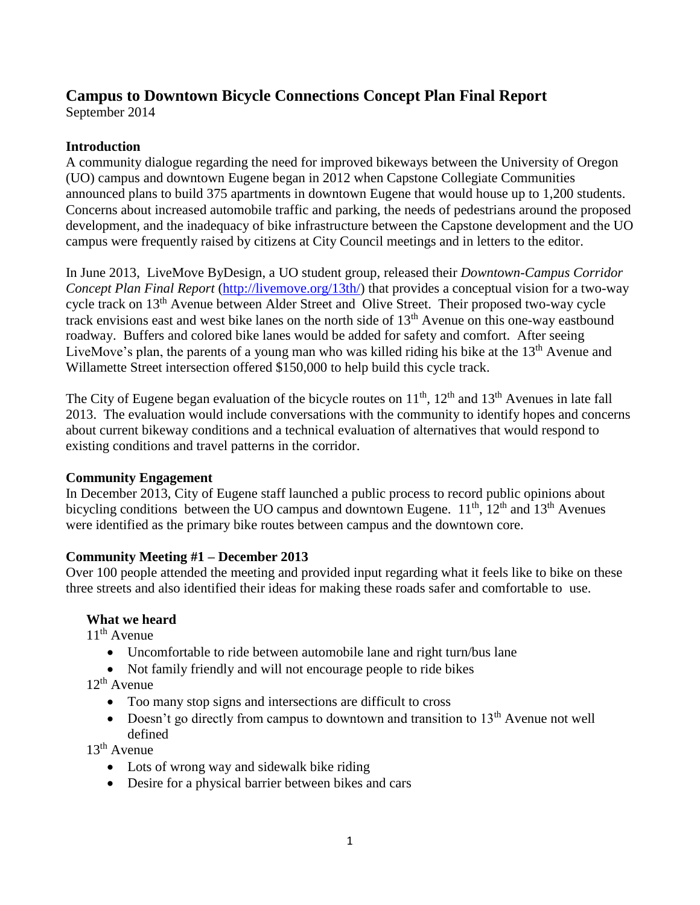# **Campus to Downtown Bicycle Connections Concept Plan Final Report**

September 2014

### **Introduction**

A community dialogue regarding the need for improved bikeways between the University of Oregon (UO) campus and downtown Eugene began in 2012 when Capstone Collegiate Communities announced plans to build 375 apartments in downtown Eugene that would house up to 1,200 students. Concerns about increased automobile traffic and parking, the needs of pedestrians around the proposed development, and the inadequacy of bike infrastructure between the Capstone development and the UO campus were frequently raised by citizens at City Council meetings and in letters to the editor.

In June 2013, LiveMove ByDesign, a UO student group, released their *Downtown-Campus Corridor Concept Plan Final Report* [\(http://livemove.org/13th/\)](http://livemove.org/13th/) that provides a conceptual vision for a two-way cycle track on 13th Avenue between Alder Street and Olive Street. Their proposed two-way cycle track envisions east and west bike lanes on the north side of  $13<sup>th</sup>$  Avenue on this one-way eastbound roadway. Buffers and colored bike lanes would be added for safety and comfort. After seeing LiveMove's plan, the parents of a young man who was killed riding his bike at the 13<sup>th</sup> Avenue and Willamette Street intersection offered \$150,000 to help build this cycle track.

The City of Eugene began evaluation of the bicycle routes on 11<sup>th</sup>, 12<sup>th</sup> and 13<sup>th</sup> Avenues in late fall 2013. The evaluation would include conversations with the community to identify hopes and concerns about current bikeway conditions and a technical evaluation of alternatives that would respond to existing conditions and travel patterns in the corridor.

#### **Community Engagement**

In December 2013, City of Eugene staff launched a public process to record public opinions about bicycling conditions between the UO campus and downtown Eugene.  $11^{th}$ ,  $12^{th}$  and  $13^{th}$  Avenues were identified as the primary bike routes between campus and the downtown core.

## **Community Meeting #1 – December 2013**

Over 100 people attended the meeting and provided input regarding what it feels like to bike on these three streets and also identified their ideas for making these roads safer and comfortable to use.

## **What we heard**

11<sup>th</sup> Avenue

- Uncomfortable to ride between automobile lane and right turn/bus lane
- Not family friendly and will not encourage people to ride bikes

 $12^{th}$  Avenue

- Too many stop signs and intersections are difficult to cross
- $\bullet$  Doesn't go directly from campus to downtown and transition to 13<sup>th</sup> Avenue not well defined

 $13<sup>th</sup>$  Avenue

- Lots of wrong way and sidewalk bike riding
- Desire for a physical barrier between bikes and cars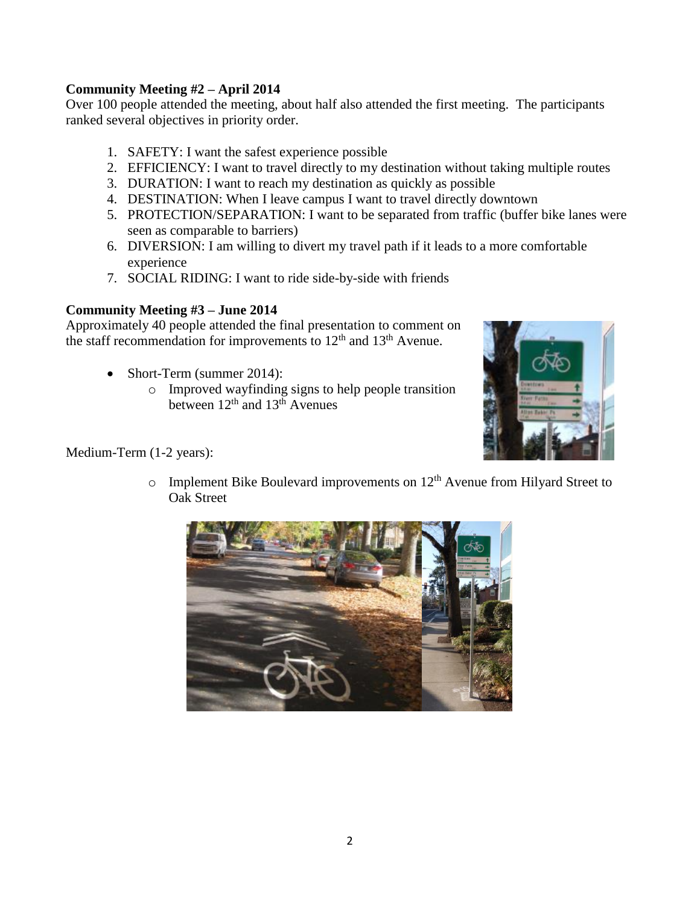#### **Community Meeting #2 – April 2014**

Over 100 people attended the meeting, about half also attended the first meeting. The participants ranked several objectives in priority order.

- 1. SAFETY: I want the safest experience possible
- 2. EFFICIENCY: I want to travel directly to my destination without taking multiple routes
- 3. DURATION: I want to reach my destination as quickly as possible
- 4. DESTINATION: When I leave campus I want to travel directly downtown
- 5. PROTECTION/SEPARATION: I want to be separated from traffic (buffer bike lanes were seen as comparable to barriers)
- 6. DIVERSION: I am willing to divert my travel path if it leads to a more comfortable experience
- 7. SOCIAL RIDING: I want to ride side-by-side with friends

#### **Community Meeting #3 – June 2014**

Approximately 40 people attended the final presentation to comment on the staff recommendation for improvements to  $12<sup>th</sup>$  and  $13<sup>th</sup>$  Avenue.

- Short-Term (summer 2014):
	- o Improved wayfinding signs to help people transition between  $12<sup>th</sup>$  and  $13<sup>th</sup>$  Avenues



Medium-Term (1-2 years):

 $\circ$  Implement Bike Boulevard improvements on 12<sup>th</sup> Avenue from Hilyard Street to Oak Street

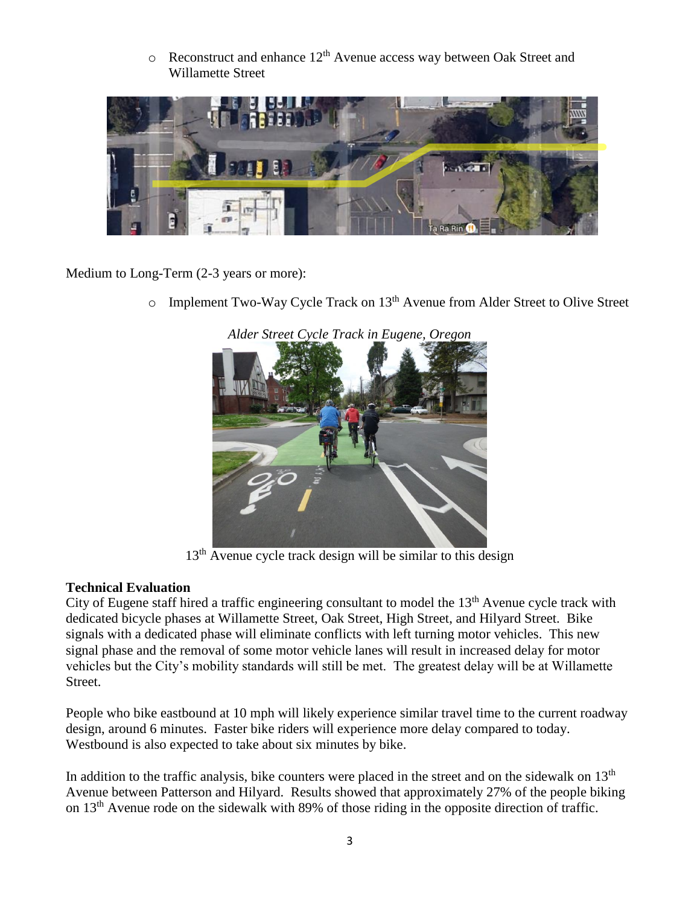$\circ$  Reconstruct and enhance 12<sup>th</sup> Avenue access way between Oak Street and Willamette Street



Medium to Long-Term (2-3 years or more):

 $\circ$  Implement Two-Way Cycle Track on 13<sup>th</sup> Avenue from Alder Street to Olive Street



*Alder Street Cycle Track in Eugene, Oregon*

 $13<sup>th</sup>$  Avenue cycle track design will be similar to this design

## **Technical Evaluation**

City of Eugene staff hired a traffic engineering consultant to model the  $13<sup>th</sup>$  Avenue cycle track with dedicated bicycle phases at Willamette Street, Oak Street, High Street, and Hilyard Street. Bike signals with a dedicated phase will eliminate conflicts with left turning motor vehicles. This new signal phase and the removal of some motor vehicle lanes will result in increased delay for motor vehicles but the City's mobility standards will still be met. The greatest delay will be at Willamette Street.

People who bike eastbound at 10 mph will likely experience similar travel time to the current roadway design, around 6 minutes. Faster bike riders will experience more delay compared to today. Westbound is also expected to take about six minutes by bike.

In addition to the traffic analysis, bike counters were placed in the street and on the sidewalk on  $13<sup>th</sup>$ Avenue between Patterson and Hilyard. Results showed that approximately 27% of the people biking on  $13<sup>th</sup>$  Avenue rode on the sidewalk with 89% of those riding in the opposite direction of traffic.